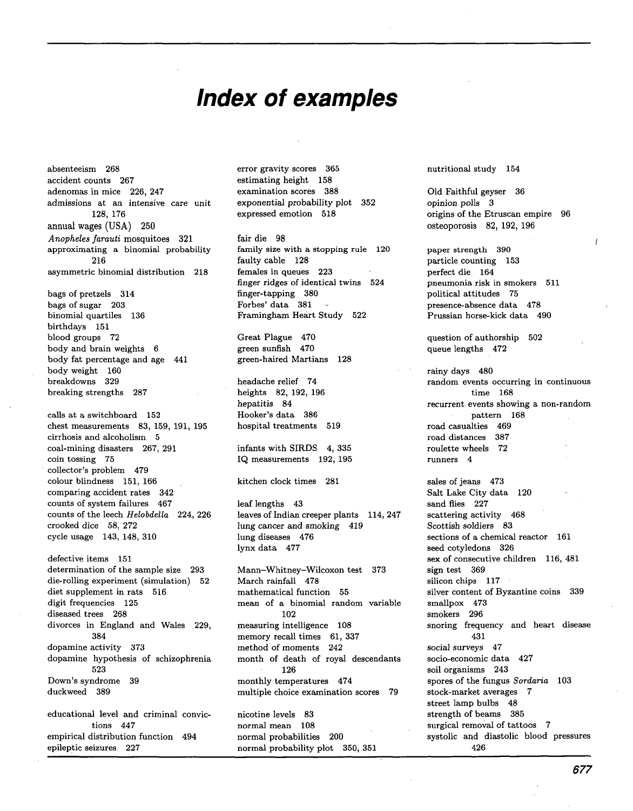## **Index of examples**

absenteeism 268 accident counts 267 adenomas in mice 226, 247 admissions at an intensive care unit 128, 176 annual wages (USA) 250 *Anopheles farauti* mosquitoes 321 approximating a binomial probability 216 asymmetric binomial distribution 218 bags of pretzels 314 bags of sugar 203 binomial quartiles 136 birthdays 151 blood groups 72 body and brain weights 6 body fat percentage and age 441 body weight 160 breakdowns 329 breaking strengths 287 calls at a switchboard 152 chest measurements 83, 159, 191, 195 cirrhosis and alcoholism 5 coal-mining disasters 267, 291 coin tossing 75 collector's problem 479 colour blindness 151, 166 comparing accident rates 342 counts of system failures 467 counts of the leech *Helobdella* 224, 226 crooked dice 58, 272 cycle usage 143, 148, 310 defective items 151 determination of the sample size 293 die-rolling experiment (simulation) 52 diet supplement in rats 516 digit frequencies 125

diseased trees 268 divorces in England and Wales 229, 384 dopamine activity 373 dopamine hypothesis of schizophrenia 523 Down's syndrome 39 duckweed 389

educational level and criminal convictions 447 empirical distribution function 494 epileptic seizures 227

error gravity scores 365 estimating height 158 examination scores 388 exponential probability plot 352 expressed emotion 518

fair die 98 family size with a stopping rule 120 faulty cable 128 females in queues 223 finger ridges of identical twins 524 finger-tapping 380 Forbes' data 381 Framingham Heart Study 522

Great Plague 470 green sunfish 470 green-haired Martians 128

headache relief 74 heights 82, 192, 196 hepatitis 84 Hooker's data 386 hospital treatments 519

infants with SIRDS 4, 335 IQ measurements 192, 195

kitchen clock times 281

leaf lengths 43 leaves of Indian creeper plants 114, 247 lung cancer and smoking 419 lung diseases 476 lynx data 477

Mann-Whitney-Wilcoxon test 373 March rainfall 478 mathematical function 55 mean of a binomial random variable 102 measuring intelligence 108 memory recall times 61, 337 method of moments 242 month of death of royal descendants 126 monthly temperatures 474 multiple choice examination scores 79 nicotine levels 83

normal mean 108 normal probabilities 200 normal probability plot 350, 351 nutritional study 154

Old Faithful geyser 36 opinion polls 3 origins of the Etruscan empire 96 osteoporosis 82, 192, 196

paper strength 390 particle counting 153 perfect die 164 pneumonia risk in smokers 511 political attitudes 75 presence-absence data 478 Prussian horse-kick data 490

question of authorship 502 queue lengths 472

rainy days 480 random events occurring in continuous time 168 recurrent events showing a non-random pattern 168 road casualties 469 road distances 387 roulette wheels 72 runners 4

sales of jeans 473 Salt Lake City data 120 sand flies 227 scattering activity 468 Scottish soldiers 83 sections of a chemical reactor 161 seed cotyledons 326 sex of consecutive children 116, 481 sign test 369 silicon chips 117 silver content of Byzantine coins 339 smallpox 473 smokers 296 snoring frequency and heart disease 431 social surveys 47 socio-economic data 427 soil organisms 243 spores of the fungus *Sordaria* 103 stock-market averages 7 street lamp bulbs 48 strength of beams 385 surgical removal of tattoos 7 systolic and diastolic blood pressures 426

677